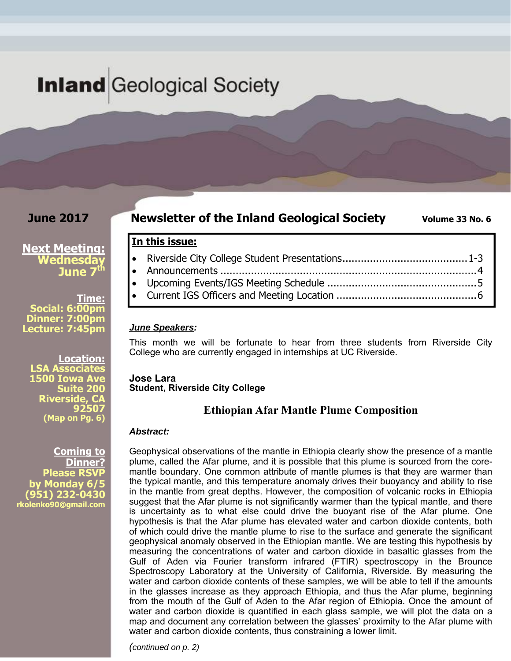# **Inland** Geological Society

## **June 2017**

## **Newsletter of the Inland Geological Society** Volume 33 No. 6

## **Next Meeting: Wednesday June 7th**

**Time: Social: 6:00pm Dinner: 7:00pm Lecture: 7:45pm** 

**Location: LSA Associates 1500 Iowa Ave Suite 200 Riverside, CA 92507 (Map on Pg. 6)**

**Coming to Dinner? Please RSVP by Monday 6/5 (951) 232-0430 rkolenko90@gmail.com** 

Riverside City College Student Presentations ......................................... 1-3

- Announcements .................................................................................... 4 Upcoming Events/IGS Meeting Schedule ................................................. 5
- Current IGS Officers and Meeting Location .............................................. 6

## *June Speakers:*

**In this issue:** 

This month we will be fortunate to hear from three students from Riverside City College who are currently engaged in internships at UC Riverside.

#### **Jose Lara Student, Riverside City College**

## **Ethiopian Afar Mantle Plume Composition**

### *Abstract:*

Geophysical observations of the mantle in Ethiopia clearly show the presence of a mantle plume, called the Afar plume, and it is possible that this plume is sourced from the coremantle boundary. One common attribute of mantle plumes is that they are warmer than the typical mantle, and this temperature anomaly drives their buoyancy and ability to rise in the mantle from great depths. However, the composition of volcanic rocks in Ethiopia suggest that the Afar plume is not significantly warmer than the typical mantle, and there is uncertainty as to what else could drive the buoyant rise of the Afar plume. One hypothesis is that the Afar plume has elevated water and carbon dioxide contents, both of which could drive the mantle plume to rise to the surface and generate the significant geophysical anomaly observed in the Ethiopian mantle. We are testing this hypothesis by measuring the concentrations of water and carbon dioxide in basaltic glasses from the Gulf of Aden via Fourier transform infrared (FTIR) spectroscopy in the Brounce Spectroscopy Laboratory at the University of California, Riverside. By measuring the water and carbon dioxide contents of these samples, we will be able to tell if the amounts in the glasses increase as they approach Ethiopia, and thus the Afar plume, beginning from the mouth of the Gulf of Aden to the Afar region of Ethiopia. Once the amount of water and carbon dioxide is quantified in each glass sample, we will plot the data on a map and document any correlation between the glasses' proximity to the Afar plume with water and carbon dioxide contents, thus constraining a lower limit.

*(continued on p. 2)*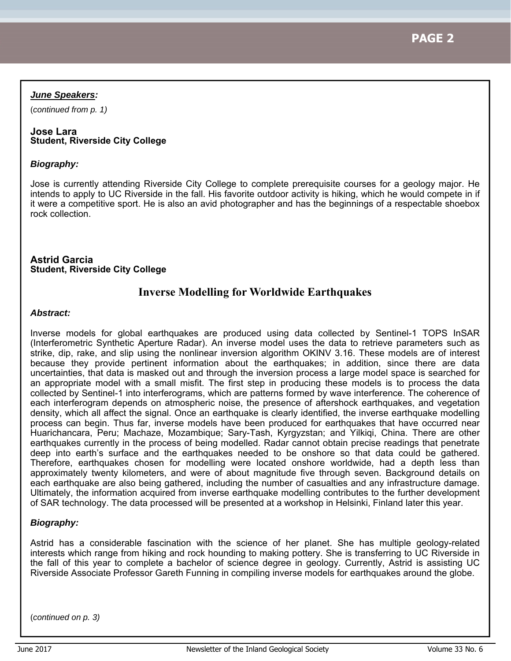## *June Speakers:*

(*continued from p. 1)*

### **Jose Lara Student, Riverside City College**

## *Biography:*

Jose is currently attending Riverside City College to complete prerequisite courses for a geology major. He intends to apply to UC Riverside in the fall. His favorite outdoor activity is hiking, which he would compete in if it were a competitive sport. He is also an avid photographer and has the beginnings of a respectable shoebox rock collection.

**Astrid Garcia Student, Riverside City College** 

## **Inverse Modelling for Worldwide Earthquakes**

### *Abstract:*

Inverse models for global earthquakes are produced using data collected by Sentinel-1 TOPS InSAR (Interferometric Synthetic Aperture Radar). An inverse model uses the data to retrieve parameters such as strike, dip, rake, and slip using the nonlinear inversion algorithm OKINV 3.16. These models are of interest because they provide pertinent information about the earthquakes; in addition, since there are data uncertainties, that data is masked out and through the inversion process a large model space is searched for an appropriate model with a small misfit. The first step in producing these models is to process the data collected by Sentinel-1 into interferograms, which are patterns formed by wave interference. The coherence of each interferogram depends on atmospheric noise, the presence of aftershock earthquakes, and vegetation density, which all affect the signal. Once an earthquake is clearly identified, the inverse earthquake modelling process can begin. Thus far, inverse models have been produced for earthquakes that have occurred near Huarichancara, Peru; Machaze, Mozambique; Sary-Tash, Kyrgyzstan; and Yilkiqi, China. There are other earthquakes currently in the process of being modelled. Radar cannot obtain precise readings that penetrate deep into earth's surface and the earthquakes needed to be onshore so that data could be gathered. Therefore, earthquakes chosen for modelling were located onshore worldwide, had a depth less than approximately twenty kilometers, and were of about magnitude five through seven. Background details on each earthquake are also being gathered, including the number of casualties and any infrastructure damage. Ultimately, the information acquired from inverse earthquake modelling contributes to the further development of SAR technology. The data processed will be presented at a workshop in Helsinki, Finland later this year.

### *Biography:*

Astrid has a considerable fascination with the science of her planet. She has multiple geology-related interests which range from hiking and rock hounding to making pottery. She is transferring to UC Riverside in the fall of this year to complete a bachelor of science degree in geology. Currently, Astrid is assisting UC Riverside Associate Professor Gareth Funning in compiling inverse models for earthquakes around the globe.

(*continued on p. 3)*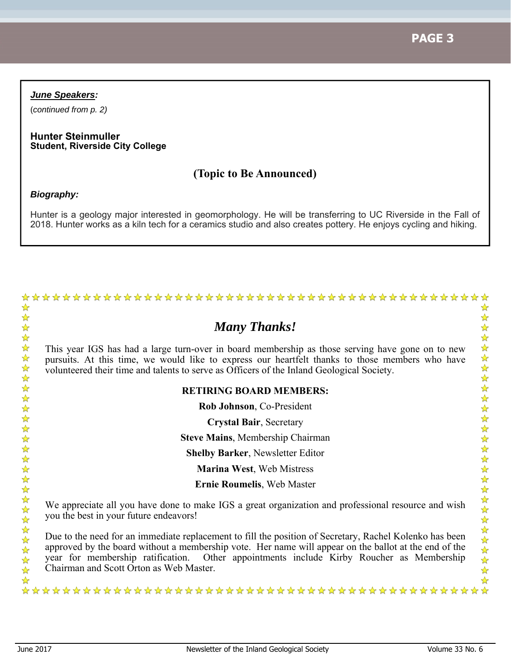**PAGE 3**

### *June Speakers:*

(*continued from p. 2)*

#### **Hunter Steinmuller Student, Riverside City College**

## **(Topic to Be Announced)**

### *Biography:*

Hunter is a geology major interested in geomorphology. He will be transferring to UC Riverside in the Fall of 2018. Hunter works as a kiln tech for a ceramics studio and also creates pottery. He enjoys cycling and hiking.

## *Many Thanks!*

This year IGS has had a large turn-over in board membership as those serving have gone on to new pursuits. At this time, we would like to express our heartfelt thanks to those members who have volunteered their time and talents to serve as Officers of the Inland Geological Society.

### **RETIRING BOARD MEMBERS:**

**Rob Johnson**, Co-President

**Crystal Bair**, Secretary

**Steve Mains**, Membership Chairman

**Shelby Barker**, Newsletter Editor

**Marina West**, Web Mistress

**Ernie Roumelis**, Web Master

We appreciate all you have done to make IGS a great organization and professional resource and wish you the best in your future endeavors!

Due to the need for an immediate replacement to fill the position of Secretary, Rachel Kolenko has been approved by the board without a membership vote. Her name will appear on the ballot at the end of the year for membership ratification. Other appointments include Kirby Roucher as Membership Chairman and Scott Orton as Web Master.

女女女女女女女女女女女女女女女女女女女女女女女女女女女女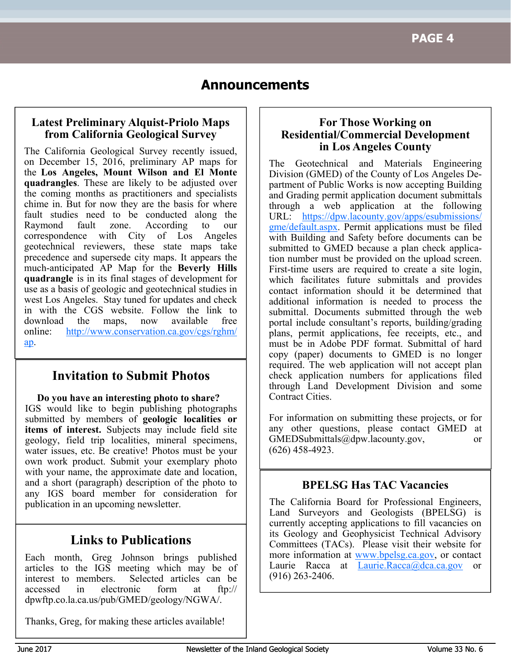## **Announcements**

## **Latest Preliminary Alquist-Priolo Maps from California Geological Survey**

The California Geological Survey recently issued, on December 15, 2016, preliminary AP maps for the **Los Angeles, Mount Wilson and El Monte quadrangles**. These are likely to be adjusted over the coming months as practitioners and specialists chime in. But for now they are the basis for where fault studies need to be conducted along the Raymond fault zone. According to our correspondence with City of Los Angeles geotechnical reviewers, these state maps take precedence and supersede city maps. It appears the much-anticipated AP Map for the **Beverly Hills quadrangle** is in its final stages of development for use as a basis of geologic and geotechnical studies in west Los Angeles. Stay tuned for updates and check in with the CGS website. Follow the link to download the maps, now available free online: http://www.conservation.ca.gov/cgs/rghm/ ap.

## **Invitation to Submit Photos**

**Do you have an interesting photo to share?** IGS would like to begin publishing photographs submitted by members of **geologic localities or items of interest.** Subjects may include field site geology, field trip localities, mineral specimens, water issues, etc. Be creative! Photos must be your own work product. Submit your exemplary photo with your name, the approximate date and location, and a short (paragraph) description of the photo to any IGS board member for consideration for publication in an upcoming newsletter.

## **Links to Publications**

Each month, Greg Johnson brings published articles to the IGS meeting which may be of interest to members. Selected articles can be accessed in electronic form at ftp:// dpwftp.co.la.ca.us/pub/GMED/geology/NGWA/.

Thanks, Greg, for making these articles available!

## **For Those Working on Residential/Commercial Development in Los Angeles County**

The Geotechnical and Materials Engineering Division (GMED) of the County of Los Angeles Department of Public Works is now accepting Building and Grading permit application document submittals through a web application at the following URL: https://dpw.lacounty.gov/apps/esubmissions/ gme/default.aspx. Permit applications must be filed with Building and Safety before documents can be submitted to GMED because a plan check application number must be provided on the upload screen. First-time users are required to create a site login, which facilitates future submittals and provides contact information should it be determined that additional information is needed to process the submittal. Documents submitted through the web portal include consultant's reports, building/grading plans, permit applications, fee receipts, etc., and must be in Adobe PDF format. Submittal of hard copy (paper) documents to GMED is no longer required. The web application will not accept plan check application numbers for applications filed through Land Development Division and some Contract Cities.

For information on submitting these projects, or for any other questions, please contact GMED at GMEDSubmittals@dpw.lacounty.gov, or (626) 458-4923.

## **BPELSG Has TAC Vacancies**

The California Board for Professional Engineers, Land Surveyors and Geologists (BPELSG) is currently accepting applications to fill vacancies on its Geology and Geophysicist Technical Advisory Committees (TACs). Please visit their website for more information at www.bpelsg.ca.gov, or contact Laurie Racca at Laurie.Racca@dca.ca.gov or (916) 263-2406.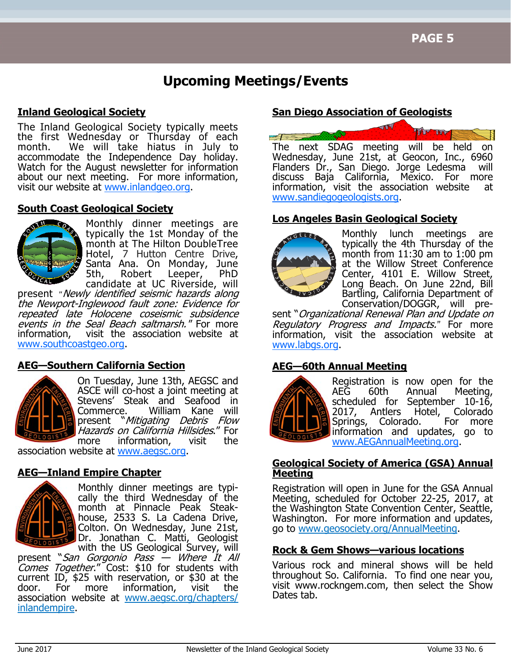## **Upcoming Meetings/Events**

## **Inland Geological Society**

The Inland Geological Society typically meets the first Wednesday or Thursday of each month. We will take hiatus in July to accommodate the Independence Day holiday. Watch for the August newsletter for information about our next meeting. For more information, visit our website at www.inlandgeo.org.

## **South Coast Geological Society**



Monthly dinner meetings are typically the 1st Monday of the month at The Hilton DoubleTree Hotel, 7 Hutton Centre Drive, Santa Ana. On Monday, June<br>5th, Robert Leeper, PhD Robert Leeper, PhD candidate at UC Riverside, will

present *"*Newly identified seismic hazards along the Newport-Inglewood fault zone: Evidence for repeated late Holocene coseismic subsidence events in the Seal Beach saltmarsh." For more information, visit the association website at www.southcoastgeo.org.

## **AEG—Southern California Section**



On Tuesday, June 13th, AEGSC and ASCE will co-host a joint meeting at Stevens' Steak and Seafood in Commerce. William Kane will present "Mitigating Debris Flow Hazards on California Hillsides." For more information, visit the

association website at www.aegsc.org.

## **AEG—Inland Empire Chapter**



Monthly dinner meetings are typically the third Wednesday of the month at Pinnacle Peak Steakhouse, 2533 S. La Cadena Drive, Colton. On Wednesday, June 21st, Dr. Jonathan C. Matti, Geologist

with the US Geological Survey, will present "San Gorgonio Pass — Where It All Comes Together." Cost: \$10 for students with current ID, \$25 with reservation, or \$30 at the door. For more information, visit the association website at www.aegsc.org/chapters/ inlandempire.

## **San Diego Association of Geologists**



## **Los Angeles Basin Geological Society**



Monthly lunch meetings are typically the 4th Thursday of the month from 11:30 am to 1:00 pm at the Willow Street Conference Center, 4101 E. Willow Street, Long Beach. On June 22nd, Bill Bartling, California Department of Conservation/DOGGR, will pre-

sent "Organizational Renewal Plan and Update on Regulatory Progress and Impacts.*"* For more information, visit the association website at www.labgs.org.

## **AEG—60th Annual Meeting**



Registration is now open for the<br>AEG 60th Annual Meeting, 60th Annual Meeting, scheduled for September 10-16, 2017, Antlers Hotel, Colorado<br>Springs, Colorado, For more Springs, Colorado. information and updates, go to www.AEGAnnualMeeting.org.

## **Geological Society of America (GSA) Annual Meeting**

Registration will open in June for the GSA Annual Meeting, scheduled for October 22-25, 2017, at the Washington State Convention Center, Seattle, Washington. For more information and updates, go to www.geosociety.org/AnnualMeeting.

## **Rock & Gem Shows—various locations**

Various rock and mineral shows will be held throughout So. California. To find one near you, visit www.rockngem.com, then select the Show Dates tab.